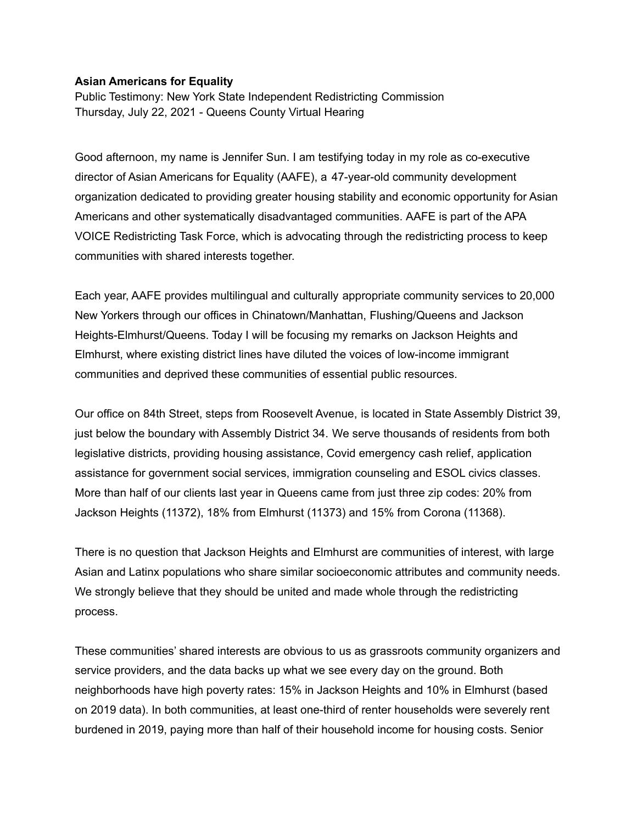## **Asian Americans for Equality**

Public Testimony: New York State Independent Redistricting Commission Thursday, July 22, 2021 - Queens County Virtual Hearing

Good afternoon, my name is Jennifer Sun. I am testifying today in my role as co-executive director of Asian Americans for Equality (AAFE), a 47-year-old community development organization dedicated to providing greater housing stability and economic opportunity for Asian Americans and other systematically disadvantaged communities. AAFE is part of the APA VOICE Redistricting Task Force, which is advocating through the redistricting process to keep communities with shared interests together.

Each year, AAFE provides multilingual and culturally appropriate community services to 20,000 New Yorkers through our offices in Chinatown/Manhattan, Flushing/Queens and Jackson Heights-Elmhurst/Queens. Today I will be focusing my remarks on Jackson Heights and Elmhurst, where existing district lines have diluted the voices of low-income immigrant communities and deprived these communities of essential public resources.

Our office on 84th Street, steps from Roosevelt Avenue, is located in State Assembly District 39, just below the boundary with Assembly District 34. We serve thousands of residents from both legislative districts, providing housing assistance, Covid emergency cash relief, application assistance for government social services, immigration counseling and ESOL civics classes. More than half of our clients last year in Queens came from just three zip codes: 20% from Jackson Heights (11372), 18% from Elmhurst (11373) and 15% from Corona (11368).

There is no question that Jackson Heights and Elmhurst are communities of interest, with large Asian and Latinx populations who share similar socioeconomic attributes and community needs. We strongly believe that they should be united and made whole through the redistricting process.

These communities' shared interests are obvious to us as grassroots community organizers and service providers, and the data backs up what we see every day on the ground. Both neighborhoods have high poverty rates: 15% in Jackson Heights and 10% in Elmhurst (based on 2019 data). In both communities, at least one-third of renter households were severely rent burdened in 2019, paying more than half of their household income for housing costs. Senior